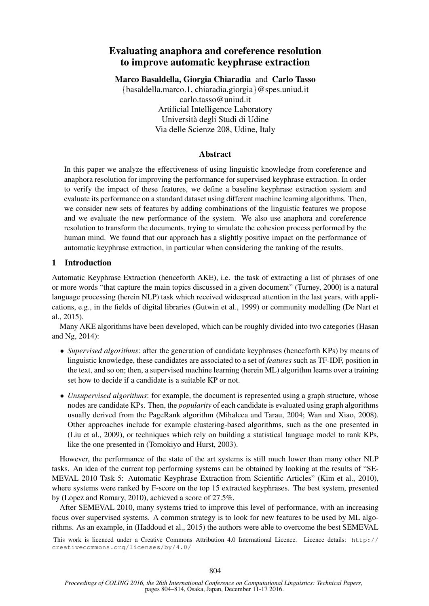# Evaluating anaphora and coreference resolution to improve automatic keyphrase extraction

Marco Basaldella, Giorgia Chiaradia and Carlo Tasso {basaldella.marco.1, chiaradia.giorgia}@spes.uniud.it carlo.tasso@uniud.it Artificial Intelligence Laboratory Universita degli Studi di Udine ` Via delle Scienze 208, Udine, Italy

# Abstract

In this paper we analyze the effectiveness of using linguistic knowledge from coreference and anaphora resolution for improving the performance for supervised keyphrase extraction. In order to verify the impact of these features, we define a baseline keyphrase extraction system and evaluate its performance on a standard dataset using different machine learning algorithms. Then, we consider new sets of features by adding combinations of the linguistic features we propose and we evaluate the new performance of the system. We also use anaphora and coreference resolution to transform the documents, trying to simulate the cohesion process performed by the human mind. We found that our approach has a slightly positive impact on the performance of automatic keyphrase extraction, in particular when considering the ranking of the results.

# 1 Introduction

Automatic Keyphrase Extraction (henceforth AKE), i.e. the task of extracting a list of phrases of one or more words "that capture the main topics discussed in a given document" (Turney, 2000) is a natural language processing (herein NLP) task which received widespread attention in the last years, with applications, e.g., in the fields of digital libraries (Gutwin et al., 1999) or community modelling (De Nart et al., 2015).

Many AKE algorithms have been developed, which can be roughly divided into two categories (Hasan and Ng, 2014):

- *Supervised algorithms*: after the generation of candidate keyphrases (henceforth KPs) by means of linguistic knowledge, these candidates are associated to a set of *features* such as TF-IDF, position in the text, and so on; then, a supervised machine learning (herein ML) algorithm learns over a training set how to decide if a candidate is a suitable KP or not.
- *Unsupervised algorithms*: for example, the document is represented using a graph structure, whose nodes are candidate KPs. Then, the *popularity* of each candidate is evaluated using graph algorithms usually derived from the PageRank algorithm (Mihalcea and Tarau, 2004; Wan and Xiao, 2008). Other approaches include for example clustering-based algorithms, such as the one presented in (Liu et al., 2009), or techniques which rely on building a statistical language model to rank KPs, like the one presented in (Tomokiyo and Hurst, 2003).

However, the performance of the state of the art systems is still much lower than many other NLP tasks. An idea of the current top performing systems can be obtained by looking at the results of "SE-MEVAL 2010 Task 5: Automatic Keyphrase Extraction from Scientific Articles" (Kim et al., 2010), where systems were ranked by F-score on the top 15 extracted keyphrases. The best system, presented by (Lopez and Romary, 2010), achieved a score of 27.5%.

After SEMEVAL 2010, many systems tried to improve this level of performance, with an increasing focus over supervised systems. A common strategy is to look for new features to be used by ML algorithms. As an example, in (Haddoud et al., 2015) the authors were able to overcome the best SEMEVAL

This work is licenced under a Creative Commons Attribution 4.0 International Licence. Licence details: http:// creativecommons.org/licenses/by/4.0/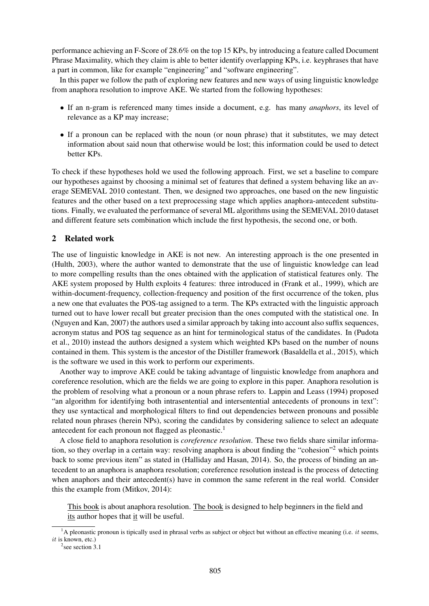performance achieving an F-Score of 28.6% on the top 15 KPs, by introducing a feature called Document Phrase Maximality, which they claim is able to better identify overlapping KPs, i.e. keyphrases that have a part in common, like for example "engineering" and "software engineering".

In this paper we follow the path of exploring new features and new ways of using linguistic knowledge from anaphora resolution to improve AKE. We started from the following hypotheses:

- If an n-gram is referenced many times inside a document, e.g. has many *anaphors*, its level of relevance as a KP may increase;
- If a pronoun can be replaced with the noun (or noun phrase) that it substitutes, we may detect information about said noun that otherwise would be lost; this information could be used to detect better KPs.

To check if these hypotheses hold we used the following approach. First, we set a baseline to compare our hypotheses against by choosing a minimal set of features that defined a system behaving like an average SEMEVAL 2010 contestant. Then, we designed two approaches, one based on the new linguistic features and the other based on a text preprocessing stage which applies anaphora-antecedent substitutions. Finally, we evaluated the performance of several ML algorithms using the SEMEVAL 2010 dataset and different feature sets combination which include the first hypothesis, the second one, or both.

# 2 Related work

The use of linguistic knowledge in AKE is not new. An interesting approach is the one presented in (Hulth, 2003), where the author wanted to demonstrate that the use of linguistic knowledge can lead to more compelling results than the ones obtained with the application of statistical features only. The AKE system proposed by Hulth exploits 4 features: three introduced in (Frank et al., 1999), which are within-document-frequency, collection-frequency and position of the first occurrence of the token, plus a new one that evaluates the POS-tag assigned to a term. The KPs extracted with the linguistic approach turned out to have lower recall but greater precision than the ones computed with the statistical one. In (Nguyen and Kan, 2007) the authors used a similar approach by taking into account also suffix sequences, acronym status and POS tag sequence as an hint for terminological status of the candidates. In (Pudota et al., 2010) instead the authors designed a system which weighted KPs based on the number of nouns contained in them. This system is the ancestor of the Distiller framework (Basaldella et al., 2015), which is the software we used in this work to perform our experiments.

Another way to improve AKE could be taking advantage of linguistic knowledge from anaphora and coreference resolution, which are the fields we are going to explore in this paper. Anaphora resolution is the problem of resolving what a pronoun or a noun phrase refers to. Lappin and Leass (1994) proposed "an algorithm for identifying both intrasentential and intersentential antecedents of pronouns in text": they use syntactical and morphological filters to find out dependencies between pronouns and possible related noun phrases (herein NPs), scoring the candidates by considering salience to select an adequate antecedent for each pronoun not flagged as pleonastic.<sup>1</sup>

A close field to anaphora resolution is *coreference resolution*. These two fields share similar information, so they overlap in a certain way: resolving anaphora is about finding the "cohesion"<sup>2</sup> which points back to some previous item" as stated in (Halliday and Hasan, 2014). So, the process of binding an antecedent to an anaphora is anaphora resolution; coreference resolution instead is the process of detecting when anaphors and their antecedent(s) have in common the same referent in the real world. Consider this the example from (Mitkov, 2014):

This book is about anaphora resolution. The book is designed to help beginners in the field and its author hopes that it will be useful.

 $<sup>1</sup>$ A pleonastic pronoun is tipically used in phrasal verbs as subject or object but without an effective meaning (i.e. *it* seems,</sup>  $it$  is known, etc.)

<sup>&</sup>lt;sup>2</sup> see section 3.1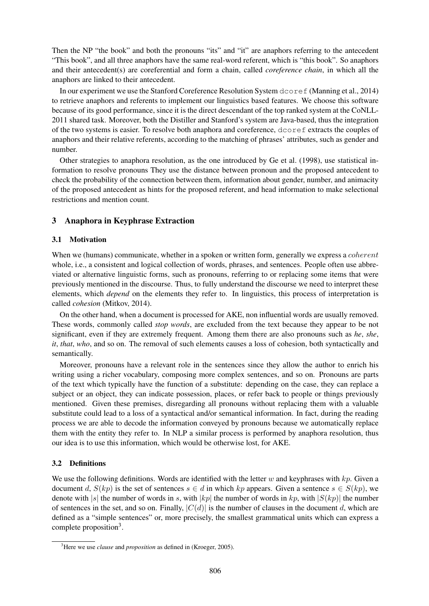Then the NP "the book" and both the pronouns "its" and "it" are anaphors referring to the antecedent "This book", and all three anaphors have the same real-word referent, which is "this book". So anaphors and their antecedent(s) are coreferential and form a chain, called *coreference chain*, in which all the anaphors are linked to their antecedent.

In our experiment we use the Stanford Coreference Resolution System dcoref (Manning et al., 2014) to retrieve anaphors and referents to implement our linguistics based features. We choose this software because of its good performance, since it is the direct descendant of the top ranked system at the CoNLL-2011 shared task. Moreover, both the Distiller and Stanford's system are Java-based, thus the integration of the two systems is easier. To resolve both anaphora and coreference, dcoref extracts the couples of anaphors and their relative referents, according to the matching of phrases' attributes, such as gender and number.

Other strategies to anaphora resolution, as the one introduced by Ge et al. (1998), use statistical information to resolve pronouns They use the distance between pronoun and the proposed antecedent to check the probability of the connection between them, information about gender, number, and animacity of the proposed antecedent as hints for the proposed referent, and head information to make selectional restrictions and mention count.

# 3 Anaphora in Keyphrase Extraction

## 3.1 Motivation

When we (humans) communicate, whether in a spoken or written form, generally we express a *coherent* whole, i.e., a consistent and logical collection of words, phrases, and sentences. People often use abbreviated or alternative linguistic forms, such as pronouns, referring to or replacing some items that were previously mentioned in the discourse. Thus, to fully understand the discourse we need to interpret these elements, which *depend* on the elements they refer to. In linguistics, this process of interpretation is called *cohesion* (Mitkov, 2014).

On the other hand, when a document is processed for AKE, non influential words are usually removed. These words, commonly called *stop words*, are excluded from the text because they appear to be not significant, even if they are extremely frequent. Among them there are also pronouns such as *he*, *she*, *it*, *that*, *who*, and so on. The removal of such elements causes a loss of cohesion, both syntactically and semantically.

Moreover, pronouns have a relevant role in the sentences since they allow the author to enrich his writing using a richer vocabulary, composing more complex sentences, and so on. Pronouns are parts of the text which typically have the function of a substitute: depending on the case, they can replace a subject or an object, they can indicate possession, places, or refer back to people or things previously mentioned. Given these premises, disregarding all pronouns without replacing them with a valuable substitute could lead to a loss of a syntactical and/or semantical information. In fact, during the reading process we are able to decode the information conveyed by pronouns because we automatically replace them with the entity they refer to. In NLP a similar process is performed by anaphora resolution, thus our idea is to use this information, which would be otherwise lost, for AKE.

# 3.2 Definitions

We use the following definitions. Words are identified with the letter w and keyphrases with  $kp$ . Given a document d,  $S(kp)$  is the set of sentences  $s \in d$  in which kp appears. Given a sentence  $s \in S(kp)$ , we denote with |s| the number of words in s, with  $|kp|$  the number of words in kp, with  $|S(kp)|$  the number of sentences in the set, and so on. Finally,  $|C(d)|$  is the number of clauses in the document d, which are defined as a "simple sentences" or, more precisely, the smallest grammatical units which can express a complete proposition<sup>3</sup>.

<sup>3</sup>Here we use *clause* and *proposition* as defined in (Kroeger, 2005).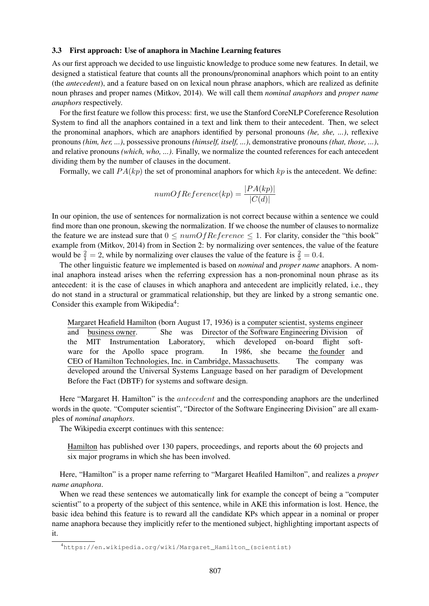#### 3.3 First approach: Use of anaphora in Machine Learning features

As our first approach we decided to use linguistic knowledge to produce some new features. In detail, we designed a statistical feature that counts all the pronouns/pronominal anaphors which point to an entity (the *antecedent*), and a feature based on on lexical noun phrase anaphors, which are realized as definite noun phrases and proper names (Mitkov, 2014). We will call them *nominal anaphors* and *proper name anaphors* respectively.

For the first feature we follow this process: first, we use the Stanford CoreNLP Coreference Resolution System to find all the anaphors contained in a text and link them to their antecedent. Then, we select the pronominal anaphors, which are anaphors identified by personal pronouns *(he, she, ...)*, reflexive pronouns *(him, her, ...)*, possessive pronouns *(himself, itself, ...)*, demonstrative pronouns *(that, those, ...)*, and relative pronouns *(which, who, ...)*. Finally, we normalize the counted references for each antecedent dividing them by the number of clauses in the document.

Formally, we call  $PA(kp)$  the set of pronominal anaphors for which kp is the antecedent. We define:

$$
numOfReference(kp) = \frac{|PA(kp)|}{|C(d)|}
$$

In our opinion, the use of sentences for normalization is not correct because within a sentence we could find more than one pronoun, skewing the normalization. If we choose the number of clauses to normalize the feature we are instead sure that  $0 \leq numOfReference \leq 1$ . For clarity, consider the "this book" example from (Mitkov, 2014) from in Section 2: by normalizing over sentences, the value of the feature would be  $\frac{2}{1} = 2$ , while by normalizing over clauses the value of the feature is  $\frac{2}{5} = 0.4$ .

The other linguistic feature we implemented is based on *nominal* and *proper name* anaphors. A nominal anaphora instead arises when the referring expression has a non-pronominal noun phrase as its antecedent: it is the case of clauses in which anaphora and antecedent are implicitly related, i.e., they do not stand in a structural or grammatical relationship, but they are linked by a strong semantic one. Consider this example from Wikipedia<sup>4</sup>:

Margaret Heafield Hamilton (born August 17, 1936) is a computer scientist, systems engineer and business owner. She was Director of the Software Engineering Division of the MIT Instrumentation Laboratory, which developed on-board flight software for the Apollo space program. In 1986, she became the founder and CEO of Hamilton Technologies, Inc. in Cambridge, Massachusetts. The company was developed around the Universal Systems Language based on her paradigm of Development Before the Fact (DBTF) for systems and software design.

Here "Margaret H. Hamilton" is the *antecedent* and the corresponding anaphors are the underlined words in the quote. "Computer scientist", "Director of the Software Engineering Division" are all examples of *nominal anaphors*.

The Wikipedia excerpt continues with this sentence:

Hamilton has published over 130 papers, proceedings, and reports about the 60 projects and six major programs in which she has been involved.

Here, "Hamilton" is a proper name referring to "Margaret Heafiled Hamilton", and realizes a *proper name anaphora*.

When we read these sentences we automatically link for example the concept of being a "computer scientist" to a property of the subject of this sentence, while in AKE this information is lost. Hence, the basic idea behind this feature is to reward all the candidate KPs which appear in a nominal or proper name anaphora because they implicitly refer to the mentioned subject, highlighting important aspects of it.

<sup>4</sup>https://en.wikipedia.org/wiki/Margaret\_Hamilton\_(scientist)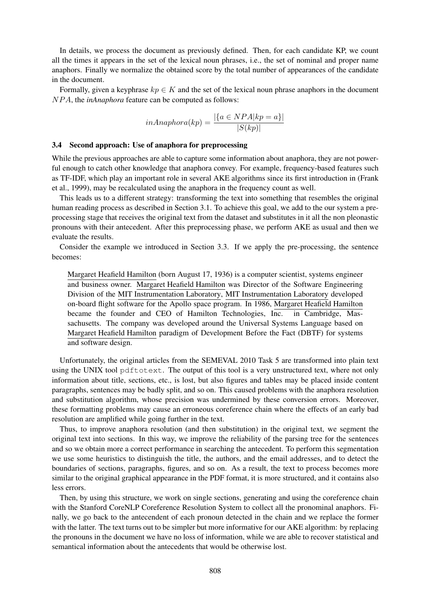In details, we process the document as previously defined. Then, for each candidate KP, we count all the times it appears in the set of the lexical noun phrases, i.e., the set of nominal and proper name anaphors. Finally we normalize the obtained score by the total number of appearances of the candidate in the document.

Formally, given a keyphrase  $kp \in K$  and the set of the lexical noun phrase anaphors in the document NP A, the *inAnaphora* feature can be computed as follows:

$$
inAnaphora(kp) = \frac{|\{a \in NPA|kp = a\}|}{|S(kp)|}
$$

#### 3.4 Second approach: Use of anaphora for preprocessing

While the previous approaches are able to capture some information about anaphora, they are not powerful enough to catch other knowledge that anaphora convey. For example, frequency-based features such as TF-IDF, which play an important role in several AKE algorithms since its first introduction in (Frank et al., 1999), may be recalculated using the anaphora in the frequency count as well.

This leads us to a different strategy: transforming the text into something that resembles the original human reading process as described in Section 3.1. To achieve this goal, we add to the our system a preprocessing stage that receives the original text from the dataset and substitutes in it all the non pleonastic pronouns with their antecedent. After this preprocessing phase, we perform AKE as usual and then we evaluate the results.

Consider the example we introduced in Section 3.3. If we apply the pre-processing, the sentence becomes:

Margaret Heafield Hamilton (born August 17, 1936) is a computer scientist, systems engineer and business owner. Margaret Heafield Hamilton was Director of the Software Engineering Division of the MIT Instrumentation Laboratory, MIT Instrumentation Laboratory developed on-board flight software for the Apollo space program. In 1986, Margaret Heafield Hamilton became the founder and CEO of Hamilton Technologies, Inc. in Cambridge, Massachusetts. The company was developed around the Universal Systems Language based on Margaret Heafield Hamilton paradigm of Development Before the Fact (DBTF) for systems and software design.

Unfortunately, the original articles from the SEMEVAL 2010 Task 5 are transformed into plain text using the UNIX tool pdftotext. The output of this tool is a very unstructured text, where not only information about title, sections, etc., is lost, but also figures and tables may be placed inside content paragraphs, sentences may be badly split, and so on. This caused problems with the anaphora resolution and substitution algorithm, whose precision was undermined by these conversion errors. Moreover, these formatting problems may cause an erroneous coreference chain where the effects of an early bad resolution are amplified while going further in the text.

Thus, to improve anaphora resolution (and then substitution) in the original text, we segment the original text into sections. In this way, we improve the reliability of the parsing tree for the sentences and so we obtain more a correct performance in searching the antecedent. To perform this segmentation we use some heuristics to distinguish the title, the authors, and the email addresses, and to detect the boundaries of sections, paragraphs, figures, and so on. As a result, the text to process becomes more similar to the original graphical appearance in the PDF format, it is more structured, and it contains also less errors.

Then, by using this structure, we work on single sections, generating and using the coreference chain with the Stanford CoreNLP Coreference Resolution System to collect all the pronominal anaphors. Finally, we go back to the antecendent of each pronoun detected in the chain and we replace the former with the latter. The text turns out to be simpler but more informative for our AKE algorithm: by replacing the pronouns in the document we have no loss of information, while we are able to recover statistical and semantical information about the antecedents that would be otherwise lost.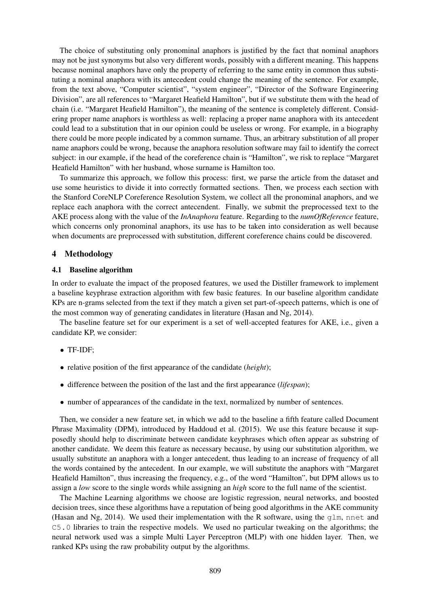The choice of substituting only pronominal anaphors is justified by the fact that nominal anaphors may not be just synonyms but also very different words, possibly with a different meaning. This happens because nominal anaphors have only the property of referring to the same entity in common thus substituting a nominal anaphora with its antecedent could change the meaning of the sentence. For example, from the text above, "Computer scientist", "system engineer", "Director of the Software Engineering Division", are all references to "Margaret Heafield Hamilton", but if we substitute them with the head of chain (i.e. "Margaret Heafield Hamilton"), the meaning of the sentence is completely different. Considering proper name anaphors is worthless as well: replacing a proper name anaphora with its antecedent could lead to a substitution that in our opinion could be useless or wrong. For example, in a biography there could be more people indicated by a common surname. Thus, an arbitrary substitution of all proper name anaphors could be wrong, because the anaphora resolution software may fail to identify the correct subject: in our example, if the head of the coreference chain is "Hamilton", we risk to replace "Margaret Heafield Hamilton" with her husband, whose surname is Hamilton too.

To summarize this approach, we follow this process: first, we parse the article from the dataset and use some heuristics to divide it into correctly formatted sections. Then, we process each section with the Stanford CoreNLP Coreference Resolution System, we collect all the pronominal anaphors, and we replace each anaphora with the correct antecendent. Finally, we submit the preprocessed text to the AKE process along with the value of the *InAnaphora* feature. Regarding to the *numOfReference* feature, which concerns only pronominal anaphors, its use has to be taken into consideration as well because when documents are preprocessed with substitution, different coreference chains could be discovered.

#### 4 Methodology

#### 4.1 Baseline algorithm

In order to evaluate the impact of the proposed features, we used the Distiller framework to implement a baseline keyphrase extraction algorithm with few basic features. In our baseline algorithm candidate KPs are n-grams selected from the text if they match a given set part-of-speech patterns, which is one of the most common way of generating candidates in literature (Hasan and Ng, 2014).

The baseline feature set for our experiment is a set of well-accepted features for AKE, i.e., given a candidate KP, we consider:

## • TF-IDF;

- relative position of the first appearance of the candidate (*height*);
- difference between the position of the last and the first appearance (*lifespan*);
- number of appearances of the candidate in the text, normalized by number of sentences.

Then, we consider a new feature set, in which we add to the baseline a fifth feature called Document Phrase Maximality (DPM), introduced by Haddoud et al. (2015). We use this feature because it supposedly should help to discriminate between candidate keyphrases which often appear as substring of another candidate. We deem this feature as necessary because, by using our substitution algorithm, we usually substitute an anaphora with a longer antecedent, thus leading to an increase of frequency of all the words contained by the antecedent. In our example, we will substitute the anaphors with "Margaret Heafield Hamilton", thus increasing the frequency, e.g., of the word "Hamilton", but DPM allows us to assign a *low* score to the single words while assigning an *high* score to the full name of the scientist.

The Machine Learning algorithms we choose are logistic regression, neural networks, and boosted decision trees, since these algorithms have a reputation of being good algorithms in the AKE community (Hasan and Ng, 2014). We used their implementation with the R software, using the  $q \text{1m}$ , nnet and C5.0 libraries to train the respective models. We used no particular tweaking on the algorithms; the neural network used was a simple Multi Layer Perceptron (MLP) with one hidden layer. Then, we ranked KPs using the raw probability output by the algorithms.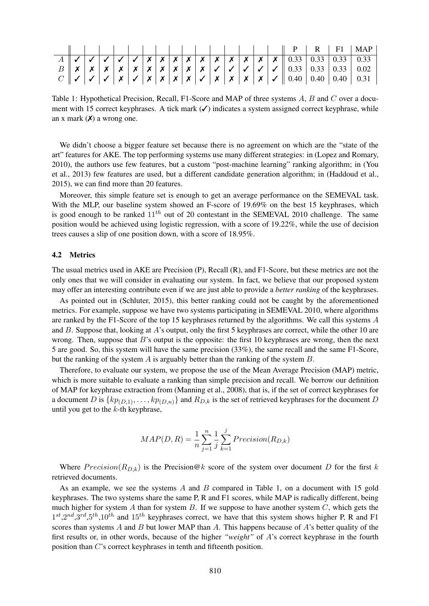Table 1: Hypothetical Precision, Recall, F1-Score and MAP of three systems A, B and C over a document with 15 correct keyphrases. A tick mark  $(\checkmark)$  indicates a system assigned correct keyphrase, while an x mark  $(X)$  a wrong one.

We didn't choose a bigger feature set because there is no agreement on which are the "state of the art" features for AKE. The top performing systems use many different strategies: in (Lopez and Romary, 2010), the authors use few features, but a custom "post-machine learning" ranking algorithm; in (You et al., 2013) few features are used, but a different candidate generation algorithm; in (Haddoud et al., 2015), we can find more than 20 features.

Moreover, this simple feature set is enough to get an average performance on the SEMEVAL task. With the MLP, our baseline system showed an F-score of 19.69% on the best 15 keyphrases, which is good enough to be ranked  $11^{th}$  out of 20 contestant in the SEMEVAL 2010 challenge. The same position would be achieved using logistic regression, with a score of 19.22%, while the use of decision trees causes a slip of one position down, with a score of 18.95%.

#### 4.2 Metrics

The usual metrics used in AKE are Precision (P), Recall (R), and F1-Score, but these metrics are not the only ones that we will consider in evaluating our system. In fact, we believe that our proposed system may offer an interesting contribute even if we are just able to provide a *better ranking* of the keyphrases.

As pointed out in (Schluter, 2015), this better ranking could not be caught by the aforementioned metrics. For example, suppose we have two systems participating in SEMEVAL 2010, where algorithms are ranked by the F1-Score of the top 15 keyphrases returned by the algorithms. We call this systems A and B. Suppose that, looking at A's output, only the first 5 keyphrases are correct, while the other 10 are wrong. Then, suppose that  $B$ 's output is the opposite: the first 10 keyphrases are wrong, then the next 5 are good. So, this system will have the same precision (33%), the same recall and the same F1-Score, but the ranking of the system A is arguably better than the ranking of the system  $B$ .

Therefore, to evaluate our system, we propose the use of the Mean Average Precision (MAP) metric, which is more suitable to evaluate a ranking than simple precision and recall. We borrow our definition of MAP for keyphrase extraction from (Manning et al., 2008), that is, if the set of correct keyphrases for a document D is  $\{kp_{(D,1)}, \ldots, kp_{(D,n)}\}$  and  $R_{D,k}$  is the set of retrieved keyphrases for the document D until you get to the  $k$ -th keyphrase,

$$
MAP(D, R) = \frac{1}{n} \sum_{j=1}^{n} \frac{1}{j} \sum_{k=1}^{j} Precision(R_{D,k})
$$

Where  $Precision(R_{D,k})$  is the Precision@k score of the system over document D for the first k retrieved documents.

As an example, we see the systems A and B compared in Table 1, on a document with 15 gold keyphrases. The two systems share the same P, R and F1 scores, while MAP is radically different, being much higher for system A than for system B. If we suppose to have another system  $C$ , which gets the  $1^{st}$ , $2^{nd}$ , $3^{rd}$ , $5^{th}$ , $10^{th}$  and  $15^{th}$  keyphrases correct, we have that this system shows higher P, R and F1 scores than systems A and B but lower MAP than A. This happens because of A's better quality of the first results or, in other words, because of the higher *"weight"* of A's correct keyphrase in the fourth position than C's correct keyphrases in tenth and fifteenth position.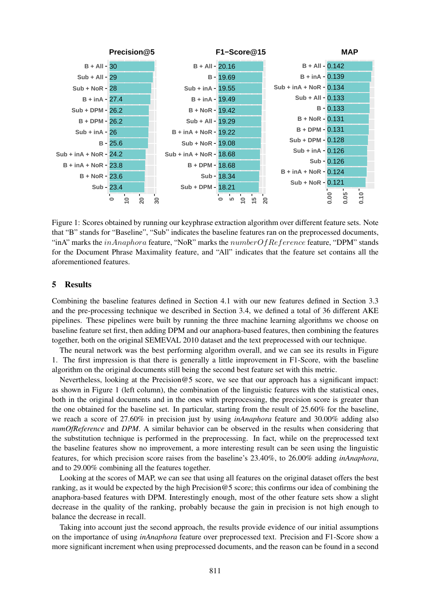

Figure 1: Scores obtained by running our keyphrase extraction algorithm over different feature sets. Note that "B" stands for "Baseline", "Sub" indicates the baseline features ran on the preprocessed documents, "inA" marks the *inAnaphora* feature, "NoR" marks the *numberOfReference* feature, "DPM" stands for the Document Phrase Maximality feature, and "All" indicates that the feature set contains all the aforementioned features.

## 5 Results

Combining the baseline features defined in Section 4.1 with our new features defined in Section 3.3 and the pre-processing technique we described in Section 3.4, we defined a total of 36 different AKE pipelines. These pipelines were built by running the three machine learning algorithms we choose on baseline feature set first, then adding DPM and our anaphora-based features, then combining the features together, both on the original SEMEVAL 2010 dataset and the text preprocessed with our technique.

The neural network was the best performing algorithm overall, and we can see its results in Figure 1. The first impression is that there is generally a little improvement in F1-Score, with the baseline algorithm on the original documents still being the second best feature set with this metric.

Nevertheless, looking at the Precision@5 score, we see that our approach has a significant impact: as shown in Figure 1 (left column), the combination of the linguistic features with the statistical ones, both in the original documents and in the ones with preprocessing, the precision score is greater than the one obtained for the baseline set. In particular, starting from the result of 25.60% for the baseline, we reach a score of 27.60% in precision just by using *inAnaphora* feature and 30.00% adding also *numOfReference* and *DPM*. A similar behavior can be observed in the results when considering that the substitution technique is performed in the preprocessing. In fact, while on the preprocessed text the baseline features show no improvement, a more interesting result can be seen using the linguistic features, for which precision score raises from the baseline's 23.40%, to 26.00% adding *inAnaphora*, and to 29.00% combining all the features together.

Looking at the scores of MAP, we can see that using all features on the original dataset offers the best ranking, as it would be expected by the high Precision@5 score; this confirms our idea of combining the anaphora-based features with DPM. Interestingly enough, most of the other feature sets show a slight decrease in the quality of the ranking, probably because the gain in precision is not high enough to balance the decrease in recall.

Taking into account just the second approach, the results provide evidence of our initial assumptions on the importance of using *inAnaphora* feature over preprocessed text. Precision and F1-Score show a more significant increment when using preprocessed documents, and the reason can be found in a second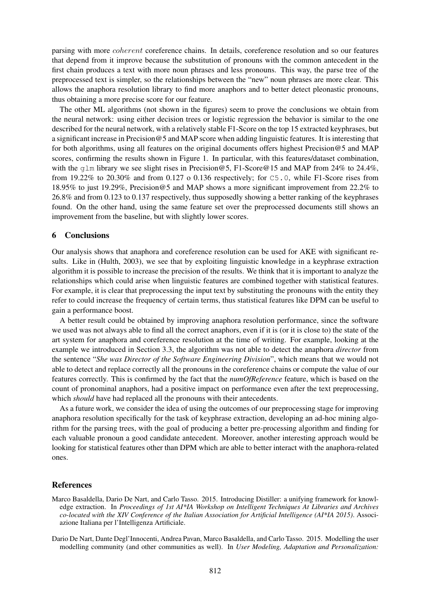parsing with more coherent coreference chains. In details, coreference resolution and so our features that depend from it improve because the substitution of pronouns with the common antecedent in the first chain produces a text with more noun phrases and less pronouns. This way, the parse tree of the preprocessed text is simpler, so the relationships between the "new" noun phrases are more clear. This allows the anaphora resolution library to find more anaphors and to better detect pleonastic pronouns, thus obtaining a more precise score for our feature.

The other ML algorithms (not shown in the figures) seem to prove the conclusions we obtain from the neural network: using either decision trees or logistic regression the behavior is similar to the one described for the neural network, with a relatively stable F1-Score on the top 15 extracted keyphrases, but a significant increase in Precision@5 and MAP score when adding linguistic features. It is interesting that for both algorithms, using all features on the original documents offers highest Precision@5 and MAP scores, confirming the results shown in Figure 1. In particular, with this features/dataset combination, with the glm library we see slight rises in Precision @5, F1-Score @15 and MAP from 24% to 24.4%, from 19.22% to 20.30% and from 0.127 o 0.136 respectively; for  $C_5$ .0, while F1-Score rises from 18.95% to just 19.29%, Precision@5 and MAP shows a more significant improvement from 22.2% to 26.8% and from 0.123 to 0.137 respectively, thus supposedly showing a better ranking of the keyphrases found. On the other hand, using the same feature set over the preprocessed documents still shows an improvement from the baseline, but with slightly lower scores.

# 6 Conclusions

Our analysis shows that anaphora and coreference resolution can be used for AKE with significant results. Like in (Hulth, 2003), we see that by exploiting linguistic knowledge in a keyphrase extraction algorithm it is possible to increase the precision of the results. We think that it is important to analyze the relationships which could arise when linguistic features are combined together with statistical features. For example, it is clear that preprocessing the input text by substituting the pronouns with the entity they refer to could increase the frequency of certain terms, thus statistical features like DPM can be useful to gain a performance boost.

A better result could be obtained by improving anaphora resolution performance, since the software we used was not always able to find all the correct anaphors, even if it is (or it is close to) the state of the art system for anaphora and coreference resolution at the time of writing. For example, looking at the example we introduced in Section 3.3, the algorithm was not able to detect the anaphora *director* from the sentence "*She was Director of the Software Engineering Division*", which means that we would not able to detect and replace correctly all the pronouns in the coreference chains or compute the value of our features correctly. This is confirmed by the fact that the *numOfReference* feature, which is based on the count of pronominal anaphors, had a positive impact on performance even after the text preprocessing, which *should* have had replaced all the pronouns with their antecedents.

As a future work, we consider the idea of using the outcomes of our preprocessing stage for improving anaphora resolution specifically for the task of keyphrase extraction, developing an ad-hoc mining algorithm for the parsing trees, with the goal of producing a better pre-processing algorithm and finding for each valuable pronoun a good candidate antecedent. Moreover, another interesting approach would be looking for statistical features other than DPM which are able to better interact with the anaphora-related ones.

## References

- Marco Basaldella, Dario De Nart, and Carlo Tasso. 2015. Introducing Distiller: a unifying framework for knowledge extraction. In *Proceedings of 1st AI\*IA Workshop on Intelligent Techniques At Libraries and Archives co-located with the XIV Conference of the Italian Association for Artificial Intelligence (AI\*IA 2015)*. Associazione Italiana per l'Intelligenza Artificiale.
- Dario De Nart, Dante Degl'Innocenti, Andrea Pavan, Marco Basaldella, and Carlo Tasso. 2015. Modelling the user modelling community (and other communities as well). In *User Modeling, Adaptation and Personalization:*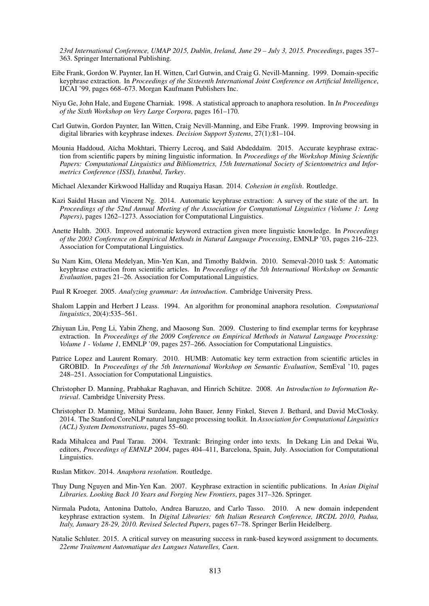*23rd International Conference, UMAP 2015, Dublin, Ireland, June 29 – July 3, 2015. Proceedings*, pages 357– 363. Springer International Publishing.

- Eibe Frank, Gordon W. Paynter, Ian H. Witten, Carl Gutwin, and Craig G. Nevill-Manning. 1999. Domain-specific keyphrase extraction. In *Proceedings of the Sixteenth International Joint Conference on Artificial Intelligence*, IJCAI '99, pages 668–673. Morgan Kaufmann Publishers Inc.
- Niyu Ge, John Hale, and Eugene Charniak. 1998. A statistical approach to anaphora resolution. In *In Proceedings of the Sixth Workshop on Very Large Corpora*, pages 161–170.
- Carl Gutwin, Gordon Paynter, Ian Witten, Craig Nevill-Manning, and Eibe Frank. 1999. Improving browsing in digital libraries with keyphrase indexes. *Decision Support Systems*, 27(1):81–104.
- Mounia Haddoud, Aïcha Mokhtari, Thierry Lecroq, and Saïd Abdeddaïm. 2015. Accurate keyphrase extraction from scientific papers by mining linguistic information. In *Proceedings of the Workshop Mining Scientific Papers: Computational Linguistics and Bibliometrics, 15th International Society of Scientometrics and Informetrics Conference (ISSI), Istanbul, Turkey*.

Michael Alexander Kirkwood Halliday and Ruqaiya Hasan. 2014. *Cohesion in english*. Routledge.

- Kazi Saidul Hasan and Vincent Ng. 2014. Automatic keyphrase extraction: A survey of the state of the art. In *Proceedings of the 52nd Annual Meeting of the Association for Computational Linguistics (Volume 1: Long Papers)*, pages 1262–1273. Association for Computational Linguistics.
- Anette Hulth. 2003. Improved automatic keyword extraction given more linguistic knowledge. In *Proceedings of the 2003 Conference on Empirical Methods in Natural Language Processing*, EMNLP '03, pages 216–223. Association for Computational Linguistics.
- Su Nam Kim, Olena Medelyan, Min-Yen Kan, and Timothy Baldwin. 2010. Semeval-2010 task 5: Automatic keyphrase extraction from scientific articles. In *Proceedings of the 5th International Workshop on Semantic Evaluation*, pages 21–26. Association for Computational Linguistics.
- Paul R Kroeger. 2005. *Analyzing grammar: An introduction*. Cambridge University Press.
- Shalom Lappin and Herbert J Leass. 1994. An algorithm for pronominal anaphora resolution. *Computational linguistics*, 20(4):535–561.
- Zhiyuan Liu, Peng Li, Yabin Zheng, and Maosong Sun. 2009. Clustering to find exemplar terms for keyphrase extraction. In *Proceedings of the 2009 Conference on Empirical Methods in Natural Language Processing: Volume 1 - Volume 1*, EMNLP '09, pages 257–266. Association for Computational Linguistics.
- Patrice Lopez and Laurent Romary. 2010. HUMB: Automatic key term extraction from scientific articles in GROBID. In *Proceedings of the 5th International Workshop on Semantic Evaluation*, SemEval '10, pages 248–251. Association for Computational Linguistics.
- Christopher D. Manning, Prabhakar Raghavan, and Hinrich Schütze. 2008. An Introduction to Information Re*trieval*. Cambridge University Press.
- Christopher D. Manning, Mihai Surdeanu, John Bauer, Jenny Finkel, Steven J. Bethard, and David McClosky. 2014. The Stanford CoreNLP natural language processing toolkit. In *Association for Computational Linguistics (ACL) System Demonstrations*, pages 55–60.
- Rada Mihalcea and Paul Tarau. 2004. Textrank: Bringing order into texts. In Dekang Lin and Dekai Wu, editors, *Proceedings of EMNLP 2004*, pages 404–411, Barcelona, Spain, July. Association for Computational Linguistics.
- Ruslan Mitkov. 2014. *Anaphora resolution*. Routledge.
- Thuy Dung Nguyen and Min-Yen Kan. 2007. Keyphrase extraction in scientific publications. In *Asian Digital Libraries. Looking Back 10 Years and Forging New Frontiers*, pages 317–326. Springer.
- Nirmala Pudota, Antonina Dattolo, Andrea Baruzzo, and Carlo Tasso. 2010. A new domain independent keyphrase extraction system. In *Digital Libraries: 6th Italian Research Conference, IRCDL 2010, Padua, Italy, January 28-29, 2010. Revised Selected Papers*, pages 67–78. Springer Berlin Heidelberg.
- Natalie Schluter. 2015. A critical survey on measuring success in rank-based keyword assignment to documents. *22eme Traitement Automatique des Langues Naturelles, Caen*.